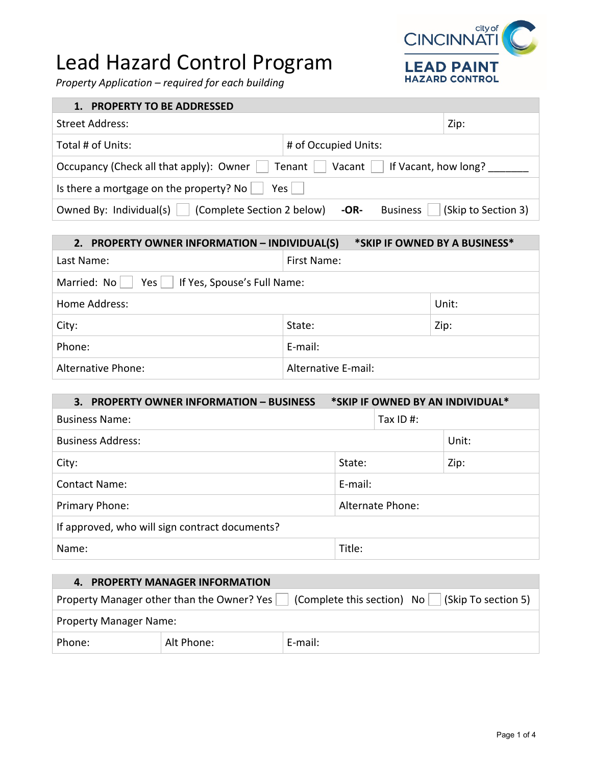## Lead Hazard Control Program

*Property Application – required for each building*



| <b>PROPERTY TO BE ADDRESSED</b><br>1.                                                  |                                                  |  |
|----------------------------------------------------------------------------------------|--------------------------------------------------|--|
| <b>Street Address:</b>                                                                 | Zip:                                             |  |
| Total # of Units:                                                                      | # of Occupied Units:                             |  |
| Occupancy (Check all that apply): Owner     Tenant  <br>If Vacant, how long?<br>Vacant |                                                  |  |
| Is there a mortgage on the property? No $\vert$<br>$Yes \mid \cdot$                    |                                                  |  |
| Owned By: Individual(s) $\vert$<br>(Complete Section 2 below)                          | <b>Business</b><br>(Skip to Section 3)<br>$-OR-$ |  |

| *SKIP IF OWNED BY A BUSINESS*<br>2. PROPERTY OWNER INFORMATION - INDIVIDUAL(S) |                     |       |
|--------------------------------------------------------------------------------|---------------------|-------|
| Last Name:                                                                     | First Name:         |       |
| Married: No<br>$Yes \mid \bot$<br>If Yes, Spouse's Full Name:                  |                     |       |
| Home Address:                                                                  |                     | Unit: |
| City:                                                                          | State:              | Zip:  |
| Phone:                                                                         | E-mail:             |       |
| Alternative Phone:                                                             | Alternative E-mail: |       |

| 3.<br><b>PROPERTY OWNER INFORMATION - BUSINESS</b> | *SKIP IF OWNED BY AN INDIVIDUAL* |       |
|----------------------------------------------------|----------------------------------|-------|
| <b>Business Name:</b>                              | Tax ID #:                        |       |
| <b>Business Address:</b>                           |                                  | Unit: |
| City:                                              | State:                           | Zip:  |
| <b>Contact Name:</b>                               | E-mail:                          |       |
| Alternate Phone:<br>Primary Phone:                 |                                  |       |
| If approved, who will sign contract documents?     |                                  |       |
| Name:                                              | Title:                           |       |

| 4. PROPERTY MANAGER INFORMATION                                                                           |            |         |  |
|-----------------------------------------------------------------------------------------------------------|------------|---------|--|
| Property Manager other than the Owner? Yes $\vert$ (Complete this section) No $\vert$ (Skip To section 5) |            |         |  |
| <b>Property Manager Name:</b>                                                                             |            |         |  |
| Phone:                                                                                                    | Alt Phone: | E-mail: |  |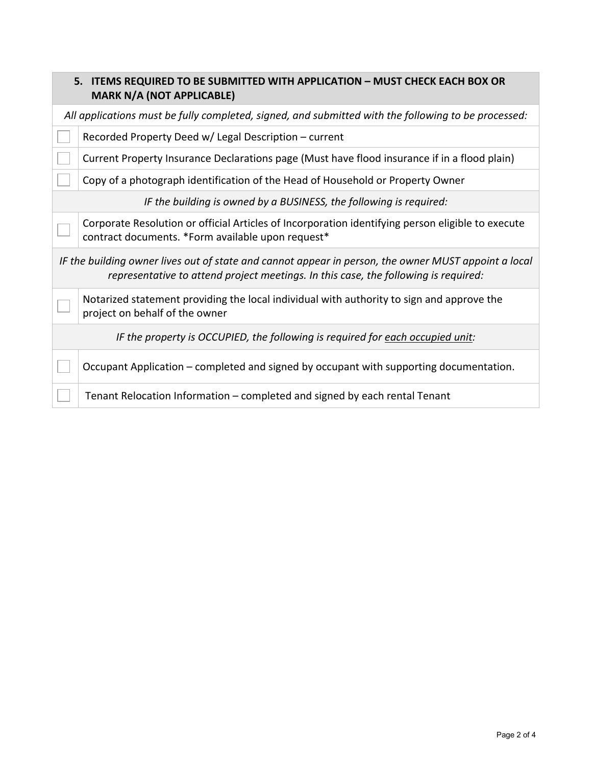|                                                                                                                                                                                             | 5. ITEMS REQUIRED TO BE SUBMITTED WITH APPLICATION - MUST CHECK EACH BOX OR<br><b>MARK N/A (NOT APPLICABLE)</b>                                        |  |
|---------------------------------------------------------------------------------------------------------------------------------------------------------------------------------------------|--------------------------------------------------------------------------------------------------------------------------------------------------------|--|
|                                                                                                                                                                                             | All applications must be fully completed, signed, and submitted with the following to be processed:                                                    |  |
|                                                                                                                                                                                             | Recorded Property Deed w/ Legal Description - current                                                                                                  |  |
|                                                                                                                                                                                             | Current Property Insurance Declarations page (Must have flood insurance if in a flood plain)                                                           |  |
|                                                                                                                                                                                             | Copy of a photograph identification of the Head of Household or Property Owner                                                                         |  |
|                                                                                                                                                                                             | IF the building is owned by a BUSINESS, the following is required:                                                                                     |  |
|                                                                                                                                                                                             | Corporate Resolution or official Articles of Incorporation identifying person eligible to execute<br>contract documents. *Form available upon request* |  |
| IF the building owner lives out of state and cannot appear in person, the owner MUST appoint a local<br>representative to attend project meetings. In this case, the following is required: |                                                                                                                                                        |  |
|                                                                                                                                                                                             | Notarized statement providing the local individual with authority to sign and approve the<br>project on behalf of the owner                            |  |
|                                                                                                                                                                                             | IF the property is OCCUPIED, the following is required for each occupied unit:                                                                         |  |
|                                                                                                                                                                                             | Occupant Application – completed and signed by occupant with supporting documentation.                                                                 |  |
|                                                                                                                                                                                             | Tenant Relocation Information - completed and signed by each rental Tenant                                                                             |  |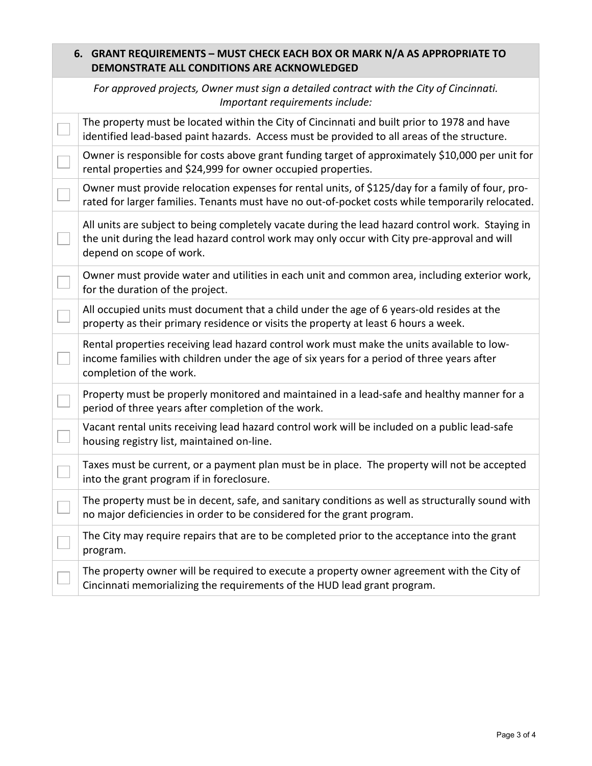| 6. GRANT REQUIREMENTS - MUST CHECK EACH BOX OR MARK N/A AS APPROPRIATE TO<br>DEMONSTRATE ALL CONDITIONS ARE ACKNOWLEDGED |                                                                                                                                                                                                                             |  |
|--------------------------------------------------------------------------------------------------------------------------|-----------------------------------------------------------------------------------------------------------------------------------------------------------------------------------------------------------------------------|--|
|                                                                                                                          | For approved projects, Owner must sign a detailed contract with the City of Cincinnati.<br>Important requirements include:                                                                                                  |  |
|                                                                                                                          | The property must be located within the City of Cincinnati and built prior to 1978 and have<br>identified lead-based paint hazards. Access must be provided to all areas of the structure.                                  |  |
|                                                                                                                          | Owner is responsible for costs above grant funding target of approximately \$10,000 per unit for<br>rental properties and \$24,999 for owner occupied properties.                                                           |  |
|                                                                                                                          | Owner must provide relocation expenses for rental units, of \$125/day for a family of four, pro-<br>rated for larger families. Tenants must have no out-of-pocket costs while temporarily relocated.                        |  |
|                                                                                                                          | All units are subject to being completely vacate during the lead hazard control work. Staying in<br>the unit during the lead hazard control work may only occur with City pre-approval and will<br>depend on scope of work. |  |
|                                                                                                                          | Owner must provide water and utilities in each unit and common area, including exterior work,<br>for the duration of the project.                                                                                           |  |
|                                                                                                                          | All occupied units must document that a child under the age of 6 years-old resides at the<br>property as their primary residence or visits the property at least 6 hours a week.                                            |  |
|                                                                                                                          | Rental properties receiving lead hazard control work must make the units available to low-<br>income families with children under the age of six years for a period of three years after<br>completion of the work.         |  |
|                                                                                                                          | Property must be properly monitored and maintained in a lead-safe and healthy manner for a<br>period of three years after completion of the work.                                                                           |  |
|                                                                                                                          | Vacant rental units receiving lead hazard control work will be included on a public lead-safe<br>housing registry list, maintained on-line.                                                                                 |  |
|                                                                                                                          | Taxes must be current, or a payment plan must be in place. The property will not be accepted<br>into the grant program if in foreclosure.                                                                                   |  |
|                                                                                                                          | The property must be in decent, safe, and sanitary conditions as well as structurally sound with<br>no major deficiencies in order to be considered for the grant program.                                                  |  |
|                                                                                                                          | The City may require repairs that are to be completed prior to the acceptance into the grant<br>program.                                                                                                                    |  |
|                                                                                                                          | The property owner will be required to execute a property owner agreement with the City of<br>Cincinnati memorializing the requirements of the HUD lead grant program.                                                      |  |